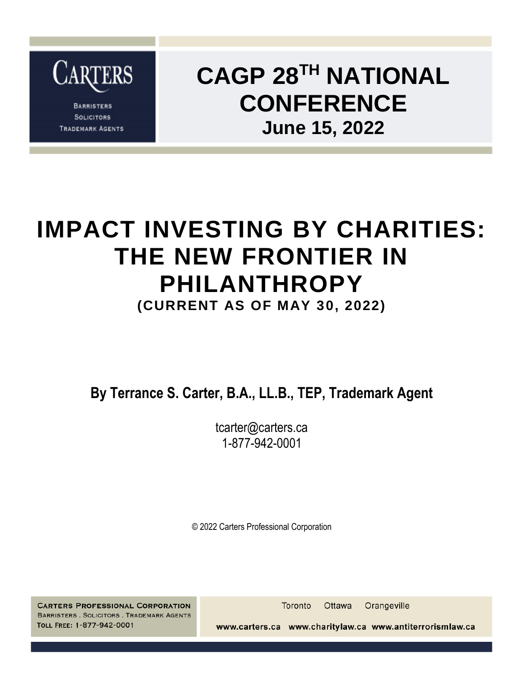

**BARRISTERS SOLICITORS TRADEMARK AGENTS** 

### **CAGP 28TH NATIONAL CONFERENCE June 15, 2022**

### **IMPACT INVESTING BY CHARITIES: THE NEW FRONTIER IN PHILANTHROPY**

**(CURRENT AS OF MAY 30, 2022)**

**By Terrance S. Carter, B.A., LL.B., TEP, Trademark Agent**

tcarter@carters.ca 1-877-942-0001

© 2022 Carters Professional Corporation

**CARTERS PROFESSIONAL CORPORATION BARRISTERS . SOLICITORS . TRADEMARK AGENTS** TOLL FREE: 1-877-942-0001

**Toronto** Ottawa Orangeville

www.carters.ca www.charitylaw.ca www.antiterrorismlaw.ca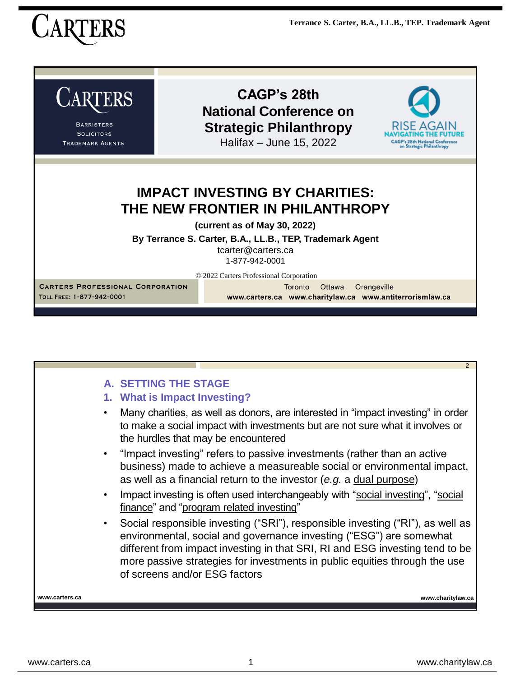



|                | $\mathcal{P}$                                                                                                                                                                                                                                                                                                                                        |
|----------------|------------------------------------------------------------------------------------------------------------------------------------------------------------------------------------------------------------------------------------------------------------------------------------------------------------------------------------------------------|
|                | <b>A. SETTING THE STAGE</b><br>1. What is Impact Investing?                                                                                                                                                                                                                                                                                          |
|                | Many charities, as well as donors, are interested in "impact investing" in order<br>to make a social impact with investments but are not sure what it involves or<br>the hurdles that may be encountered                                                                                                                                             |
|                | "Impact investing" refers to passive investments (rather than an active<br>business) made to achieve a measureable social or environmental impact,<br>as well as a financial return to the investor (e.g. a dual purpose)                                                                                                                            |
| $\bullet$      | Impact investing is often used interchangeably with "social investing", "social<br>finance" and "program related investing"                                                                                                                                                                                                                          |
| ٠              | Social responsible investing ("SRI"), responsible investing ("RI"), as well as<br>environmental, social and governance investing ("ESG") are somewhat<br>different from impact investing in that SRI, RI and ESG investing tend to be<br>more passive strategies for investments in public equities through the use<br>of screens and/or ESG factors |
| www.carters.ca | www.charitylaw.ca                                                                                                                                                                                                                                                                                                                                    |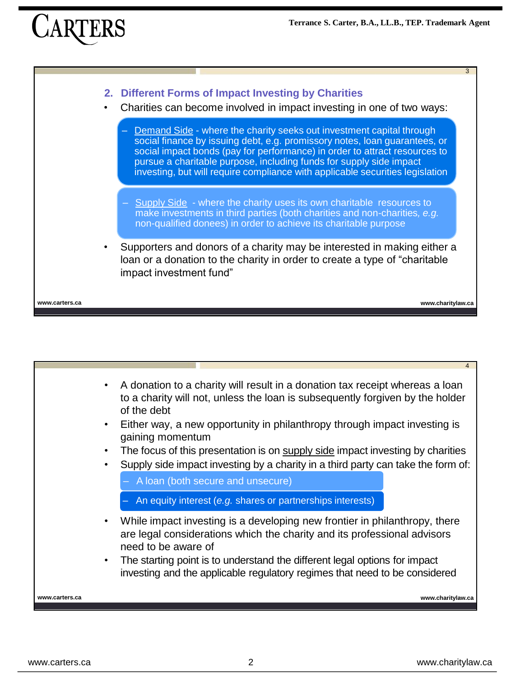## $CAR$



| $\bullet$<br>$\bullet$<br>$\bullet$<br>$\bullet$ | A donation to a charity will result in a donation tax receipt whereas a loan<br>to a charity will not, unless the loan is subsequently forgiven by the holder<br>of the debt<br>Either way, a new opportunity in philanthropy through impact investing is<br>gaining momentum<br>The focus of this presentation is on supply side impact investing by charities<br>Supply side impact investing by a charity in a third party can take the form of:<br>A loan (both secure and unsecure)<br>An equity interest (e.g. shares or partnerships interests) |
|--------------------------------------------------|--------------------------------------------------------------------------------------------------------------------------------------------------------------------------------------------------------------------------------------------------------------------------------------------------------------------------------------------------------------------------------------------------------------------------------------------------------------------------------------------------------------------------------------------------------|
| $\bullet$<br>٠                                   | While impact investing is a developing new frontier in philanthropy, there<br>are legal considerations which the charity and its professional advisors<br>need to be aware of<br>The starting point is to understand the different legal options for impact<br>investing and the applicable regulatory regimes that need to be considered                                                                                                                                                                                                              |
| www.carters.ca                                   | www.charitylaw.ca                                                                                                                                                                                                                                                                                                                                                                                                                                                                                                                                      |
|                                                  |                                                                                                                                                                                                                                                                                                                                                                                                                                                                                                                                                        |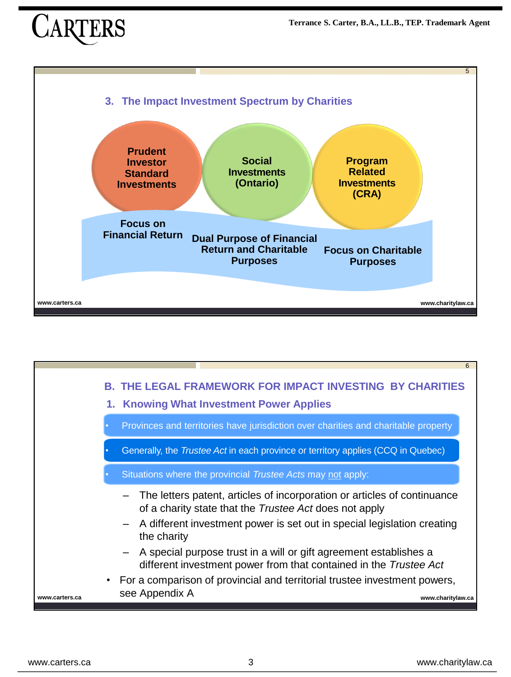

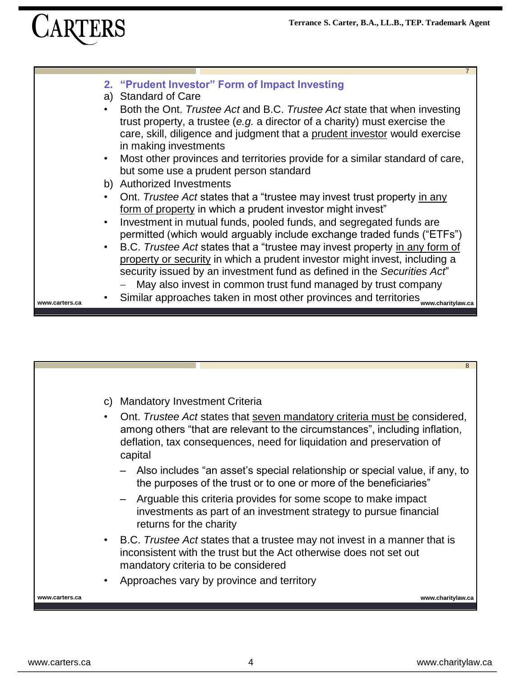# CARTERS

|                | $\overline{7}$                                                                                                                                                                                                                                                |
|----------------|---------------------------------------------------------------------------------------------------------------------------------------------------------------------------------------------------------------------------------------------------------------|
|                | 2. "Prudent Investor" Form of Impact Investing<br>a) Standard of Care                                                                                                                                                                                         |
|                | Both the Ont. Trustee Act and B.C. Trustee Act state that when investing<br>trust property, a trustee (e.g. a director of a charity) must exercise the<br>care, skill, diligence and judgment that a prudent investor would exercise<br>in making investments |
| $\bullet$      | Most other provinces and territories provide for a similar standard of care,<br>but some use a prudent person standard                                                                                                                                        |
|                | b) Authorized Investments                                                                                                                                                                                                                                     |
|                | Ont. Trustee Act states that a "trustee may invest trust property in any<br>form of property in which a prudent investor might invest"                                                                                                                        |
|                | Investment in mutual funds, pooled funds, and segregated funds are<br>permitted (which would arguably include exchange traded funds ("ETFs")                                                                                                                  |
|                | B.C. Trustee Act states that a "trustee may invest property in any form of<br>property or security in which a prudent investor might invest, including a<br>security issued by an investment fund as defined in the Securities Act"                           |
| www.carters.ca | May also invest in common trust fund managed by trust company<br>Similar approaches taken in most other provinces and territories www.charitylaw.ca                                                                                                           |

|                |           | 8                                                                                                                                                                                                                                            |
|----------------|-----------|----------------------------------------------------------------------------------------------------------------------------------------------------------------------------------------------------------------------------------------------|
|                |           |                                                                                                                                                                                                                                              |
|                | C)        | <b>Mandatory Investment Criteria</b>                                                                                                                                                                                                         |
|                |           | Ont. Trustee Act states that seven mandatory criteria must be considered,<br>among others "that are relevant to the circumstances", including inflation,<br>deflation, tax consequences, need for liquidation and preservation of<br>capital |
|                |           | - Also includes "an asset's special relationship or special value, if any, to<br>the purposes of the trust or to one or more of the beneficiaries"                                                                                           |
|                |           | - Arguable this criteria provides for some scope to make impact<br>investments as part of an investment strategy to pursue financial<br>returns for the charity                                                                              |
|                | $\bullet$ | B.C. Trustee Act states that a trustee may not invest in a manner that is<br>inconsistent with the trust but the Act otherwise does not set out<br>mandatory criteria to be considered                                                       |
|                |           | Approaches vary by province and territory                                                                                                                                                                                                    |
| www.carters.ca |           | www.charitylaw.ca                                                                                                                                                                                                                            |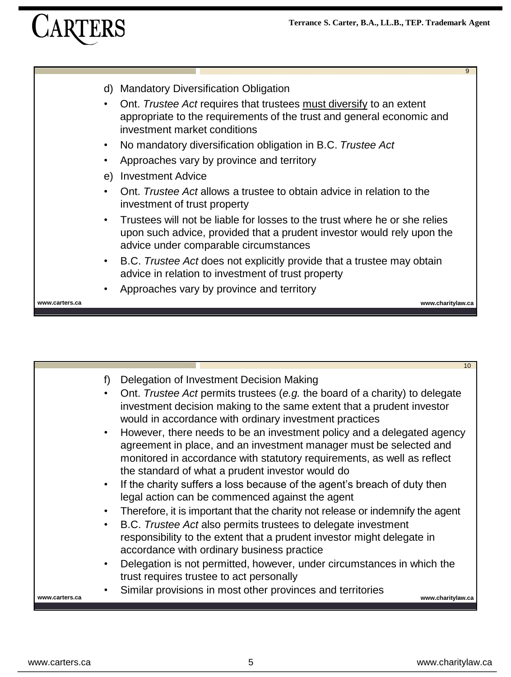

|                                                             | 10 <sup>1</sup>                                                                                                                                                                                                                                                                                                                                                                                                                                                                                                                                                                                                                                                                                                                                                                                                                                                                                                                                                                                                                                                                                                                                              |
|-------------------------------------------------------------|--------------------------------------------------------------------------------------------------------------------------------------------------------------------------------------------------------------------------------------------------------------------------------------------------------------------------------------------------------------------------------------------------------------------------------------------------------------------------------------------------------------------------------------------------------------------------------------------------------------------------------------------------------------------------------------------------------------------------------------------------------------------------------------------------------------------------------------------------------------------------------------------------------------------------------------------------------------------------------------------------------------------------------------------------------------------------------------------------------------------------------------------------------------|
| f)<br>$\bullet$<br>$\bullet$<br>$\bullet$<br>www.carters.ca | Delegation of Investment Decision Making<br>Ont. Trustee Act permits trustees (e.g. the board of a charity) to delegate<br>investment decision making to the same extent that a prudent investor<br>would in accordance with ordinary investment practices<br>However, there needs to be an investment policy and a delegated agency<br>agreement in place, and an investment manager must be selected and<br>monitored in accordance with statutory requirements, as well as reflect<br>the standard of what a prudent investor would do<br>If the charity suffers a loss because of the agent's breach of duty then<br>legal action can be commenced against the agent<br>Therefore, it is important that the charity not release or indemnify the agent<br>B.C. Trustee Act also permits trustees to delegate investment<br>responsibility to the extent that a prudent investor might delegate in<br>accordance with ordinary business practice<br>Delegation is not permitted, however, under circumstances in which the<br>trust requires trustee to act personally<br>Similar provisions in most other provinces and territories<br>www.charitylaw.ca |
|                                                             |                                                                                                                                                                                                                                                                                                                                                                                                                                                                                                                                                                                                                                                                                                                                                                                                                                                                                                                                                                                                                                                                                                                                                              |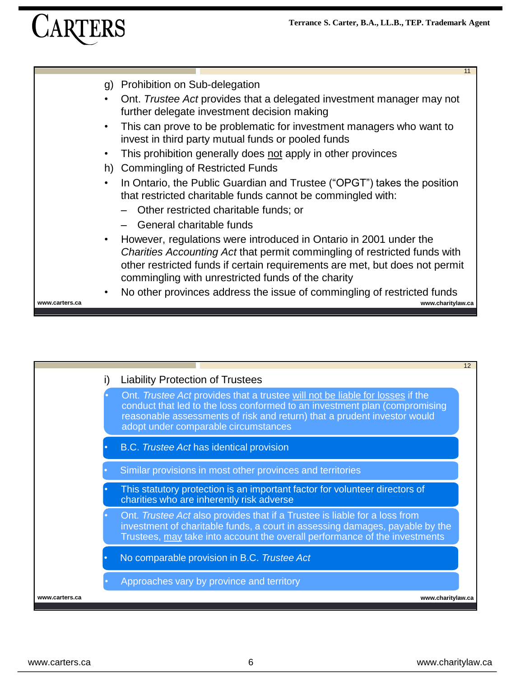

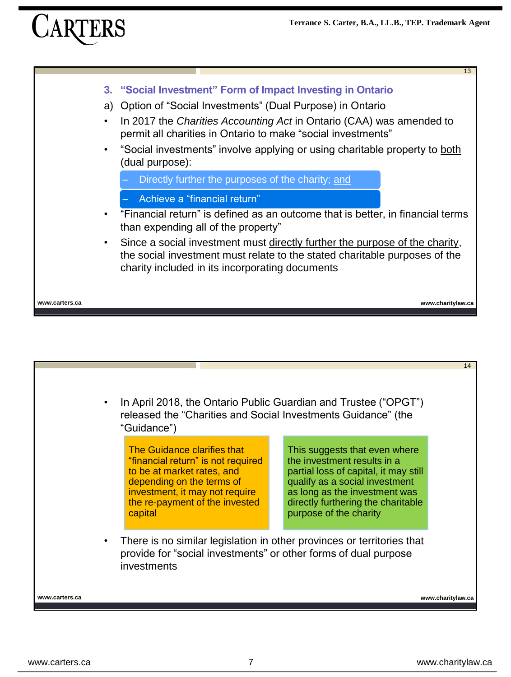

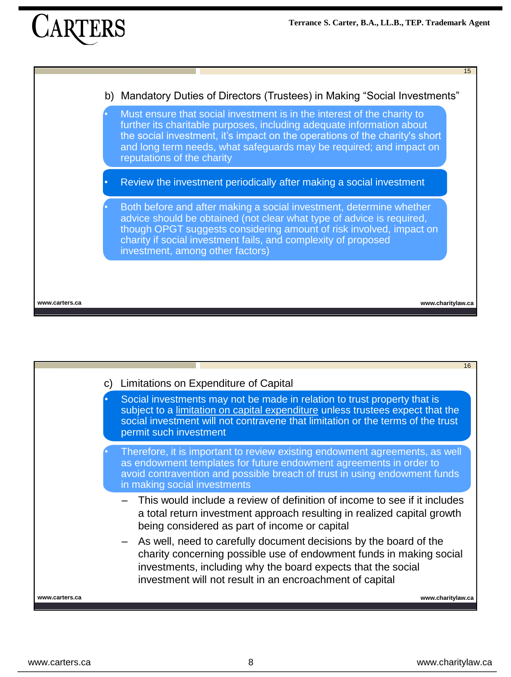## **CARTE**



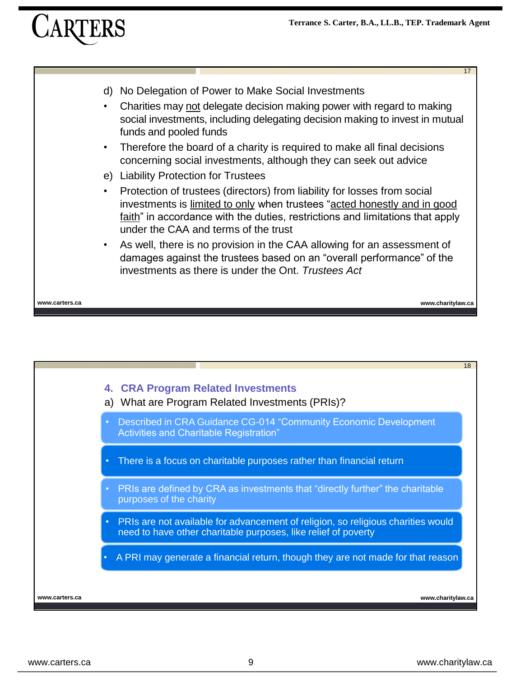- d) No Delegation of Power to Make Social Investments
- Charities may not delegate decision making power with regard to making social investments, including delegating decision making to invest in mutual funds and pooled funds
- Therefore the board of a charity is required to make all final decisions concerning social investments, although they can seek out advice
- e) Liability Protection for Trustees
- Protection of trustees (directors) from liability for losses from social investments is limited to only when trustees "acted honestly and in good faith" in accordance with the duties, restrictions and limitations that apply under the CAA and terms of the trust
- As well, there is no provision in the CAA allowing for an assessment of damages against the trustees based on an "overall performance" of the investments as there is under the Ont. *Trustees Act*

**www.carters.ca www.charitylaw.ca**

17

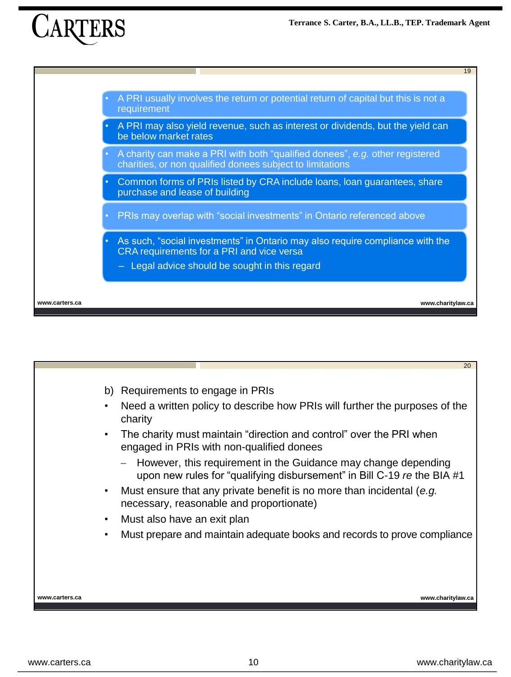**Terrance S. Carter, B.A., LL.B., TEP. Trademark Agent**





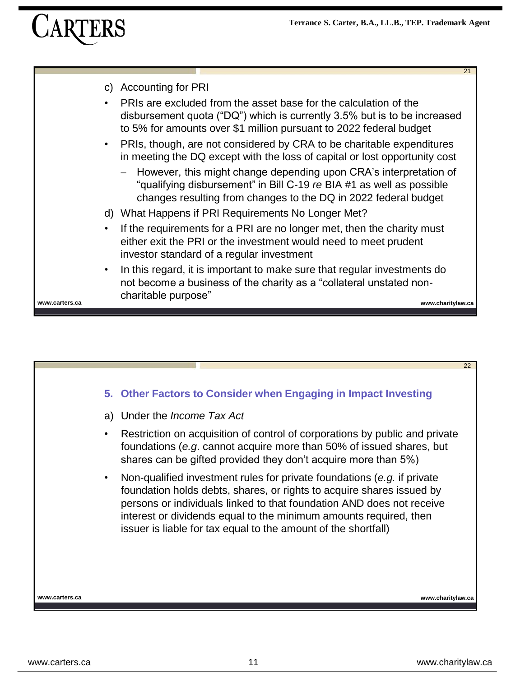21

| C)             | <b>Accounting for PRI</b>                                                                                                                                                                                          |
|----------------|--------------------------------------------------------------------------------------------------------------------------------------------------------------------------------------------------------------------|
| $\bullet$      | PRIs are excluded from the asset base for the calculation of the<br>disbursement quota ("DQ") which is currently 3.5% but is to be increased<br>to 5% for amounts over \$1 million pursuant to 2022 federal budget |
| $\bullet$      | PRIs, though, are not considered by CRA to be charitable expenditures<br>in meeting the DQ except with the loss of capital or lost opportunity cost                                                                |
|                | - However, this might change depending upon CRA's interpretation of<br>"qualifying disbursement" in Bill C-19 re BIA #1 as well as possible<br>changes resulting from changes to the DQ in 2022 federal budget     |
|                | d) What Happens if PRI Requirements No Longer Met?                                                                                                                                                                 |
| $\bullet$      | If the requirements for a PRI are no longer met, then the charity must<br>either exit the PRI or the investment would need to meet prudent<br>investor standard of a regular investment                            |
| $\bullet$      | In this regard, it is important to make sure that regular investments do<br>not become a business of the charity as a "collateral unstated non-<br>charitable purpose"                                             |
| www.carters.ca | www.charitylaw.ca                                                                                                                                                                                                  |

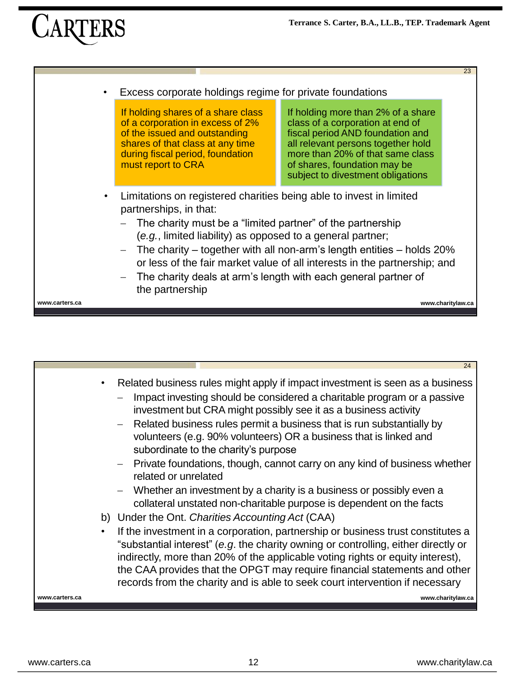23

# CARTERS

|                | Excess corporate holdings regime for private foundations                                                                                                                                                                                                                                                                                                                                                                                                                 |                                                                                                                                                                                                                                                           |  |  |
|----------------|--------------------------------------------------------------------------------------------------------------------------------------------------------------------------------------------------------------------------------------------------------------------------------------------------------------------------------------------------------------------------------------------------------------------------------------------------------------------------|-----------------------------------------------------------------------------------------------------------------------------------------------------------------------------------------------------------------------------------------------------------|--|--|
|                | If holding shares of a share class<br>of a corporation in excess of 2%<br>of the issued and outstanding<br>shares of that class at any time<br>during fiscal period, foundation<br>must report to CRA                                                                                                                                                                                                                                                                    | If holding more than 2% of a share<br>class of a corporation at end of<br>fiscal period AND foundation and<br>all relevant persons together hold<br>more than 20% of that same class<br>of shares, foundation may be<br>subject to divestment obligations |  |  |
|                | Limitations on registered charities being able to invest in limited<br>partnerships, in that:<br>The charity must be a "limited partner" of the partnership<br>(e.g., limited liability) as opposed to a general partner;<br>$-$ The charity – together with all non-arm's length entities – holds 20%<br>or less of the fair market value of all interests in the partnership; and<br>The charity deals at arm's length with each general partner of<br>the partnership |                                                                                                                                                                                                                                                           |  |  |
| www.carters.ca | www.charitylaw.ca                                                                                                                                                                                                                                                                                                                                                                                                                                                        |                                                                                                                                                                                                                                                           |  |  |
|                |                                                                                                                                                                                                                                                                                                                                                                                                                                                                          |                                                                                                                                                                                                                                                           |  |  |

|                | 24                                                                                                                                                                                                                                                                                                                                                                                                                   |
|----------------|----------------------------------------------------------------------------------------------------------------------------------------------------------------------------------------------------------------------------------------------------------------------------------------------------------------------------------------------------------------------------------------------------------------------|
| $\bullet$      | Related business rules might apply if impact investment is seen as a business<br>Impact investing should be considered a charitable program or a passive<br>investment but CRA might possibly see it as a business activity<br>- Related business rules permit a business that is run substantially by<br>volunteers (e.g. 90% volunteers) OR a business that is linked and<br>subordinate to the charity's purpose  |
|                | - Private foundations, though, cannot carry on any kind of business whether<br>related or unrelated                                                                                                                                                                                                                                                                                                                  |
|                | - Whether an investment by a charity is a business or possibly even a<br>collateral unstated non-charitable purpose is dependent on the facts                                                                                                                                                                                                                                                                        |
|                | b) Under the Ont. Charities Accounting Act (CAA)                                                                                                                                                                                                                                                                                                                                                                     |
|                | If the investment in a corporation, partnership or business trust constitutes a<br>"substantial interest" (e.g. the charity owning or controlling, either directly or<br>indirectly, more than 20% of the applicable voting rights or equity interest),<br>the CAA provides that the OPGT may require financial statements and other<br>records from the charity and is able to seek court intervention if necessary |
| www.carters.ca | www.charitylaw.ca                                                                                                                                                                                                                                                                                                                                                                                                    |
|                |                                                                                                                                                                                                                                                                                                                                                                                                                      |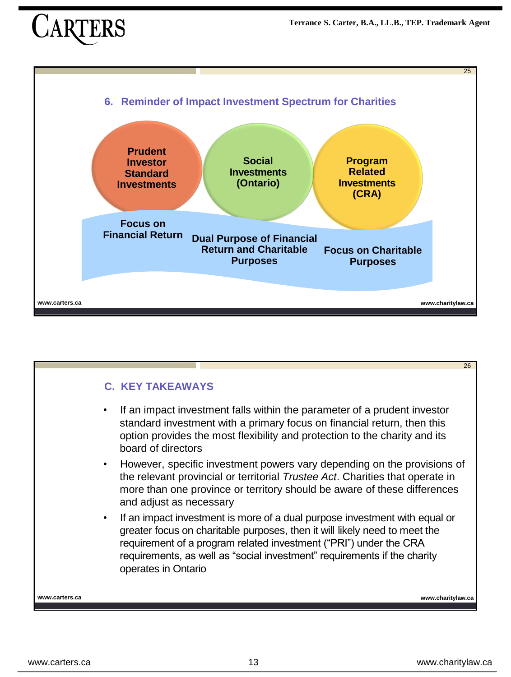

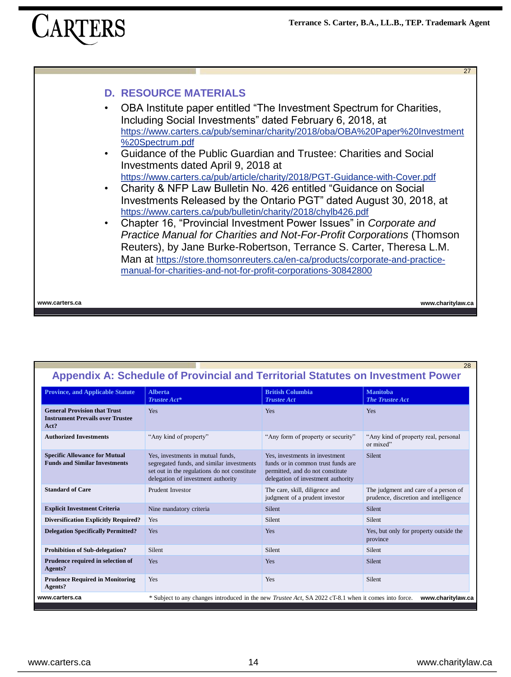### **D. RESOURCE MATERIALS**

- OBA Institute paper entitled "The Investment Spectrum for Charities, Including Social Investments" dated February 6, 2018, at [https://www.carters.ca/pub/seminar/charity/2018/oba/OBA%20Paper%20Investment](https://www.carters.ca/pub/seminar/charity/2018/oba/OBA%20Paper%20Investment%20Spectrum.pdf) %20Spectrum.pdf
- Guidance of the Public Guardian and Trustee: Charities and Social Investments dated April 9, 2018 at <https://www.carters.ca/pub/article/charity/2018/PGT-Guidance-with-Cover.pdf>
- Charity & NFP Law Bulletin No. 426 entitled "Guidance on Social Investments Released by the Ontario PGT" dated August 30, 2018, at <https://www.carters.ca/pub/bulletin/charity/2018/chylb426.pdf>
- Chapter 16, "Provincial Investment Power Issues" in *Corporate and Practice Manual for Charities and Not-For-Profit Corporations* (Thomson Reuters), by Jane Burke-Robertson, Terrance S. Carter, Theresa L.M. Man at [https://store.thomsonreuters.ca/en-ca/products/corporate-and-practice](https://store.thomsonreuters.ca/en-ca/products/corporate-and-practice-manual-for-charities-and-not-for-profit-corporations-30842800)manual-for-charities-and-not-for-profit-corporations-30842800

**www.carters.ca www.charitylaw.ca**

28

 $27$ 

| <b>Province, and Applicable Statute</b>                                                                                                             | <b>Alberta</b><br>Trustee Act*                                                                                                                                       | <b>British Columbia</b><br><b>Trustee Act</b>                                                                                                  | <b>Manitoba</b><br><b>The Trustee Act</b>                                     |
|-----------------------------------------------------------------------------------------------------------------------------------------------------|----------------------------------------------------------------------------------------------------------------------------------------------------------------------|------------------------------------------------------------------------------------------------------------------------------------------------|-------------------------------------------------------------------------------|
| <b>General Provision that Trust</b><br><b>Instrument Prevails over Trustee</b><br>Act?                                                              | Yes                                                                                                                                                                  | Yes                                                                                                                                            | Yes                                                                           |
| <b>Authorized Investments</b>                                                                                                                       | "Any kind of property"                                                                                                                                               | "Any form of property or security"                                                                                                             | "Any kind of property real, personal<br>or mixed"                             |
| <b>Specific Allowance for Mutual</b><br><b>Funds and Similar Investments</b>                                                                        | Yes, investments in mutual funds.<br>segregated funds, and similar investments<br>set out in the regulations do not constitute<br>delegation of investment authority | Yes, investments in investment<br>funds or in common trust funds are<br>permitted, and do not constitute<br>delegation of investment authority | <b>Silent</b>                                                                 |
| <b>Standard of Care</b>                                                                                                                             | <b>Prudent Investor</b>                                                                                                                                              | The care, skill, diligence and<br>judgment of a prudent investor                                                                               | The judgment and care of a person of<br>prudence, discretion and intelligence |
| <b>Explicit Investment Criteria</b>                                                                                                                 | Nine mandatory criteria                                                                                                                                              | Silent                                                                                                                                         | Silent                                                                        |
| <b>Diversification Explicitly Required?</b>                                                                                                         | Yes                                                                                                                                                                  | Silent                                                                                                                                         | Silent                                                                        |
| <b>Delegation Specifically Permitted?</b>                                                                                                           | Yes                                                                                                                                                                  | Yes                                                                                                                                            | Yes, but only for property outside the<br>province                            |
| <b>Prohibition of Sub-delegation?</b>                                                                                                               | Silent                                                                                                                                                               | Silent                                                                                                                                         | <b>Silent</b>                                                                 |
| Prudence required in selection of<br>Agents?                                                                                                        | Yes                                                                                                                                                                  | Yes                                                                                                                                            | Silent                                                                        |
| <b>Prudence Required in Monitoring</b><br>Agents?                                                                                                   | Yes                                                                                                                                                                  | Yes                                                                                                                                            | Silent                                                                        |
| * Subject to any changes introduced in the new <i>Trustee Act</i> , SA 2022 cT-8.1 when it comes into force.<br>www.carters.ca<br>www.charitylaw.ca |                                                                                                                                                                      |                                                                                                                                                |                                                                               |

### **Appendix A: Schedule of Provincial and Territorial Statutes on Investment Power**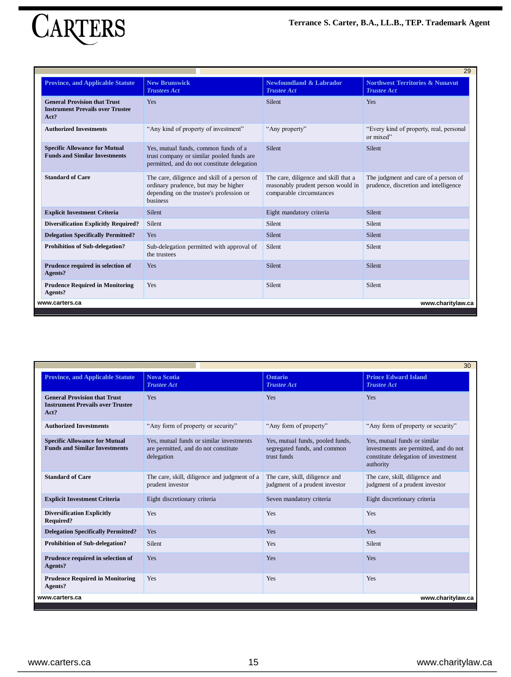

| 29                                                                                     |                                                                                                                                                     |                                                                                                        |                                                                               |
|----------------------------------------------------------------------------------------|-----------------------------------------------------------------------------------------------------------------------------------------------------|--------------------------------------------------------------------------------------------------------|-------------------------------------------------------------------------------|
| <b>Province, and Applicable Statute</b>                                                | <b>New Brunswick</b><br><b>Trustees Act</b>                                                                                                         | <b>Newfoundland &amp; Labrador</b><br><b>Trustee Act</b>                                               | <b>Northwest Territories &amp; Nunavut</b><br><b>Trustee Act</b>              |
| <b>General Provision that Trust</b><br><b>Instrument Prevails over Trustee</b><br>Act? | Yes                                                                                                                                                 | <b>Silent</b>                                                                                          | Yes                                                                           |
| <b>Authorized Investments</b>                                                          | "Any kind of property of investment"                                                                                                                | "Any property"                                                                                         | "Every kind of property, real, personal<br>or mixed"                          |
| <b>Specific Allowance for Mutual</b><br><b>Funds and Similar Investments</b>           | Yes, mutual funds, common funds of a<br>trust company or similar pooled funds are<br>permitted, and do not constitute delegation                    | Silent                                                                                                 | Silent                                                                        |
| <b>Standard of Care</b>                                                                | The care, diligence and skill of a person of<br>ordinary prudence, but may be higher<br>depending on the trustee's profession or<br><b>business</b> | The care, diligence and skill that a<br>reasonably prudent person would in<br>comparable circumstances | The judgment and care of a person of<br>prudence, discretion and intelligence |
| <b>Explicit Investment Criteria</b>                                                    | <b>Silent</b>                                                                                                                                       | Eight mandatory criteria                                                                               | <b>Silent</b>                                                                 |
| <b>Diversification Explicitly Required?</b>                                            | <b>Silent</b>                                                                                                                                       | Silent                                                                                                 | <b>Silent</b>                                                                 |
| <b>Delegation Specifically Permitted?</b>                                              | Yes                                                                                                                                                 | <b>Silent</b>                                                                                          | <b>Silent</b>                                                                 |
| <b>Prohibition of Sub-delegation?</b>                                                  | Sub-delegation permitted with approval of<br>the trustees                                                                                           | Silent                                                                                                 | Silent                                                                        |
| Prudence required in selection of<br>Agents?                                           | Yes                                                                                                                                                 | Silent                                                                                                 | Silent                                                                        |
| <b>Prudence Required in Monitoring</b><br>Agents?                                      | Yes                                                                                                                                                 | Silent                                                                                                 | Silent                                                                        |
| www.carters.ca                                                                         |                                                                                                                                                     |                                                                                                        | www.charitylaw.ca                                                             |
|                                                                                        |                                                                                                                                                     |                                                                                                        |                                                                               |

|                                                                                        |                                                                                                |                                                                                 | 30                                                                                                                        |
|----------------------------------------------------------------------------------------|------------------------------------------------------------------------------------------------|---------------------------------------------------------------------------------|---------------------------------------------------------------------------------------------------------------------------|
| <b>Province, and Applicable Statute</b>                                                | <b>Nova Scotia</b><br><b>Trustee Act</b>                                                       | <b>Ontario</b><br><b>Trustee Act</b>                                            | <b>Prince Edward Island</b><br><b>Trustee Act</b>                                                                         |
| <b>General Provision that Trust</b><br><b>Instrument Prevails over Trustee</b><br>Act? | Yes                                                                                            | Yes                                                                             | <b>Yes</b>                                                                                                                |
| <b>Authorized Investments</b>                                                          | "Any form of property or security"                                                             | "Any form of property"                                                          | "Any form of property or security"                                                                                        |
| <b>Specific Allowance for Mutual</b><br><b>Funds and Similar Investments</b>           | Yes, mutual funds or similar investments<br>are permitted, and do not constitute<br>delegation | Yes, mutual funds, pooled funds,<br>segregated funds, and common<br>trust funds | Yes, mutual funds or similar<br>investments are permitted, and do not<br>constitute delegation of investment<br>authority |
| <b>Standard of Care</b>                                                                | The care, skill, diligence and judgment of a<br>prudent investor                               | The care, skill, diligence and<br>judgment of a prudent investor                | The care, skill, diligence and<br>judgment of a prudent investor                                                          |
| <b>Explicit Investment Criteria</b>                                                    | Eight discretionary criteria                                                                   | Seven mandatory criteria                                                        | Eight discretionary criteria                                                                                              |
| <b>Diversification Explicitly</b><br><b>Required?</b>                                  | Yes                                                                                            | Yes                                                                             | Yes                                                                                                                       |
| <b>Delegation Specifically Permitted?</b>                                              | Yes                                                                                            | Yes                                                                             | Yes                                                                                                                       |
| <b>Prohibition of Sub-delegation?</b>                                                  | Silent                                                                                         | Yes                                                                             | Silent                                                                                                                    |
| Prudence required in selection of<br>Agents?                                           | Yes                                                                                            | Yes                                                                             | <b>Yes</b>                                                                                                                |
| <b>Prudence Required in Monitoring</b><br>Agents?                                      | Yes                                                                                            | Yes                                                                             | Yes                                                                                                                       |
| www.charitylaw.ca<br>www.carters.ca                                                    |                                                                                                |                                                                                 |                                                                                                                           |